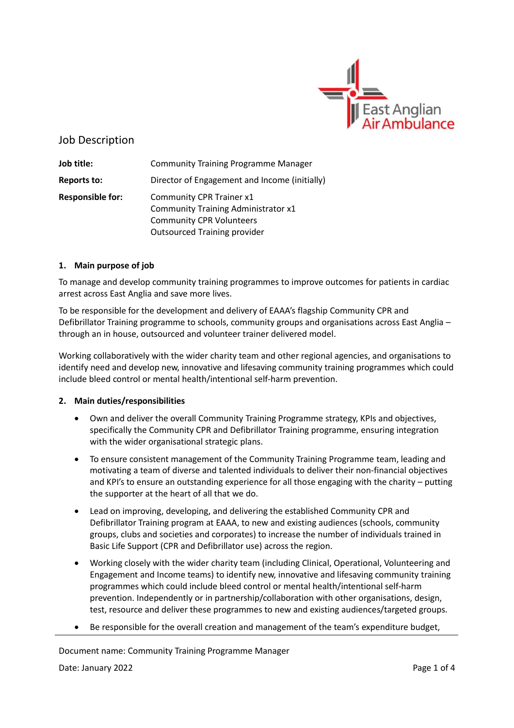

# Job Description

**Job title:** Community Training Programme Manager **Reports to:** Director of Engagement and Income (initially) **Responsible for:** Community CPR Trainer x1 Community Training Administrator x1 Community CPR Volunteers Outsourced Training provider

## **1. Main purpose of job**

To manage and develop community training programmes to improve outcomes for patients in cardiac arrest across East Anglia and save more lives.

To be responsible for the development and delivery of EAAA's flagship Community CPR and Defibrillator Training programme to schools, community groups and organisations across East Anglia – through an in house, outsourced and volunteer trainer delivered model.

Working collaboratively with the wider charity team and other regional agencies, and organisations to identify need and develop new, innovative and lifesaving community training programmes which could include bleed control or mental health/intentional self-harm prevention.

## **2. Main duties/responsibilities**

- Own and deliver the overall Community Training Programme strategy, KPIs and objectives, specifically the Community CPR and Defibrillator Training programme, ensuring integration with the wider organisational strategic plans.
- To ensure consistent management of the Community Training Programme team, leading and motivating a team of diverse and talented individuals to deliver their non-financial objectives and KPI's to ensure an outstanding experience for all those engaging with the charity – putting the supporter at the heart of all that we do.
- Lead on improving, developing, and delivering the established Community CPR and Defibrillator Training program at EAAA, to new and existing audiences (schools, community groups, clubs and societies and corporates) to increase the number of individuals trained in Basic Life Support (CPR and Defibrillator use) across the region.
- Working closely with the wider charity team (including Clinical, Operational, Volunteering and Engagement and Income teams) to identify new, innovative and lifesaving community training programmes which could include bleed control or mental health/intentional self-harm prevention. Independently or in partnership/collaboration with other organisations, design, test, resource and deliver these programmes to new and existing audiences/targeted groups.
- Be responsible for the overall creation and management of the team's expenditure budget,

Document name: Community Training Programme Manager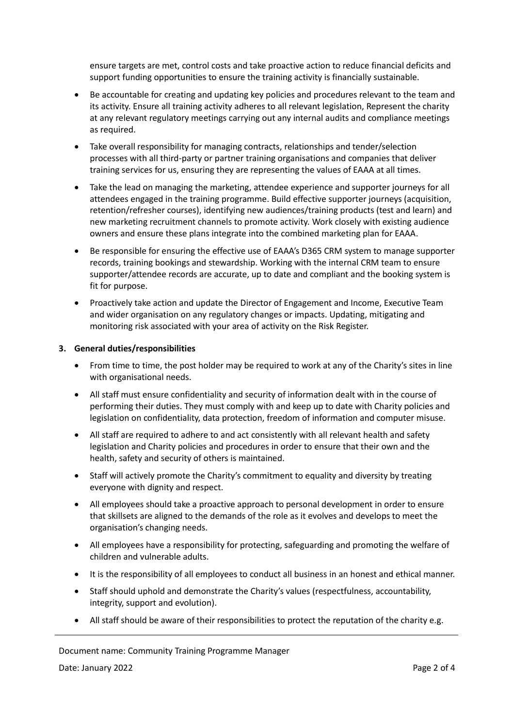ensure targets are met, control costs and take proactive action to reduce financial deficits and support funding opportunities to ensure the training activity is financially sustainable.

- Be accountable for creating and updating key policies and procedures relevant to the team and its activity. Ensure all training activity adheres to all relevant legislation, Represent the charity at any relevant regulatory meetings carrying out any internal audits and compliance meetings as required.
- Take overall responsibility for managing contracts, relationships and tender/selection processes with all third-party or partner training organisations and companies that deliver training services for us, ensuring they are representing the values of EAAA at all times.
- Take the lead on managing the marketing, attendee experience and supporter journeys for all attendees engaged in the training programme. Build effective supporter journeys (acquisition, retention/refresher courses), identifying new audiences/training products (test and learn) and new marketing recruitment channels to promote activity. Work closely with existing audience owners and ensure these plans integrate into the combined marketing plan for EAAA.
- Be responsible for ensuring the effective use of EAAA's D365 CRM system to manage supporter records, training bookings and stewardship. Working with the internal CRM team to ensure supporter/attendee records are accurate, up to date and compliant and the booking system is fit for purpose.
- Proactively take action and update the Director of Engagement and Income, Executive Team and wider organisation on any regulatory changes or impacts. Updating, mitigating and monitoring risk associated with your area of activity on the Risk Register.

## **3. General duties/responsibilities**

- From time to time, the post holder may be required to work at any of the Charity's sites in line with organisational needs.
- All staff must ensure confidentiality and security of information dealt with in the course of performing their duties. They must comply with and keep up to date with Charity policies and legislation on confidentiality, data protection, freedom of information and computer misuse.
- All staff are required to adhere to and act consistently with all relevant health and safety legislation and Charity policies and procedures in order to ensure that their own and the health, safety and security of others is maintained.
- Staff will actively promote the Charity's commitment to equality and diversity by treating everyone with dignity and respect.
- All employees should take a proactive approach to personal development in order to ensure that skillsets are aligned to the demands of the role as it evolves and develops to meet the organisation's changing needs.
- All employees have a responsibility for protecting, safeguarding and promoting the welfare of children and vulnerable adults.
- It is the responsibility of all employees to conduct all business in an honest and ethical manner.
- Staff should uphold and demonstrate the Charity's values (respectfulness, accountability, integrity, support and evolution).
- All staff should be aware of their responsibilities to protect the reputation of the charity e.g.

### Document name: Community Training Programme Manager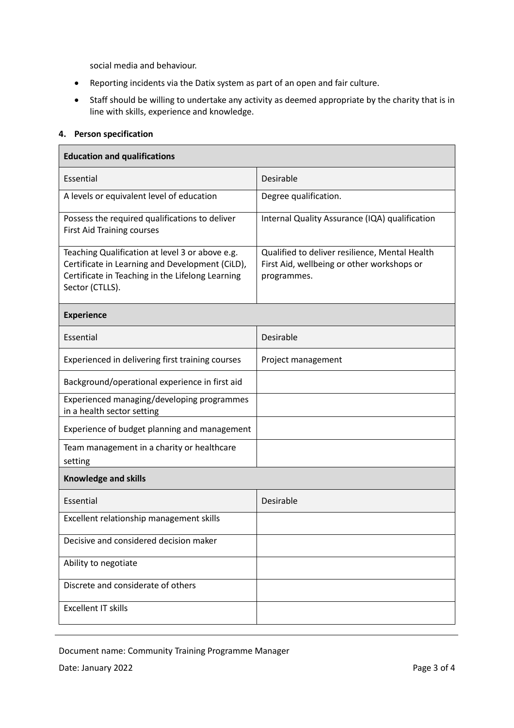social media and behaviour.

- Reporting incidents via the Datix system as part of an open and fair culture.
- Staff should be willing to undertake any activity as deemed appropriate by the charity that is in line with skills, experience and knowledge.

## **4. Person specification**

| <b>Education and qualifications</b>                                                                                                                                       |                                                                                                             |
|---------------------------------------------------------------------------------------------------------------------------------------------------------------------------|-------------------------------------------------------------------------------------------------------------|
| Essential                                                                                                                                                                 | Desirable                                                                                                   |
| A levels or equivalent level of education                                                                                                                                 | Degree qualification.                                                                                       |
| Possess the required qualifications to deliver<br><b>First Aid Training courses</b>                                                                                       | Internal Quality Assurance (IQA) qualification                                                              |
| Teaching Qualification at level 3 or above e.g.<br>Certificate in Learning and Development (CiLD),<br>Certificate in Teaching in the Lifelong Learning<br>Sector (CTLLS). | Qualified to deliver resilience, Mental Health<br>First Aid, wellbeing or other workshops or<br>programmes. |
| <b>Experience</b>                                                                                                                                                         |                                                                                                             |
| Essential                                                                                                                                                                 | Desirable                                                                                                   |
| Experienced in delivering first training courses                                                                                                                          | Project management                                                                                          |
| Background/operational experience in first aid                                                                                                                            |                                                                                                             |
| Experienced managing/developing programmes<br>in a health sector setting                                                                                                  |                                                                                                             |
| Experience of budget planning and management                                                                                                                              |                                                                                                             |
| Team management in a charity or healthcare<br>setting                                                                                                                     |                                                                                                             |
| <b>Knowledge and skills</b>                                                                                                                                               |                                                                                                             |
| Essential                                                                                                                                                                 | Desirable                                                                                                   |
| Excellent relationship management skills                                                                                                                                  |                                                                                                             |
| Decisive and considered decision maker                                                                                                                                    |                                                                                                             |
| Ability to negotiate                                                                                                                                                      |                                                                                                             |
| Discrete and considerate of others                                                                                                                                        |                                                                                                             |
| <b>Excellent IT skills</b>                                                                                                                                                |                                                                                                             |

Document name: Community Training Programme Manager